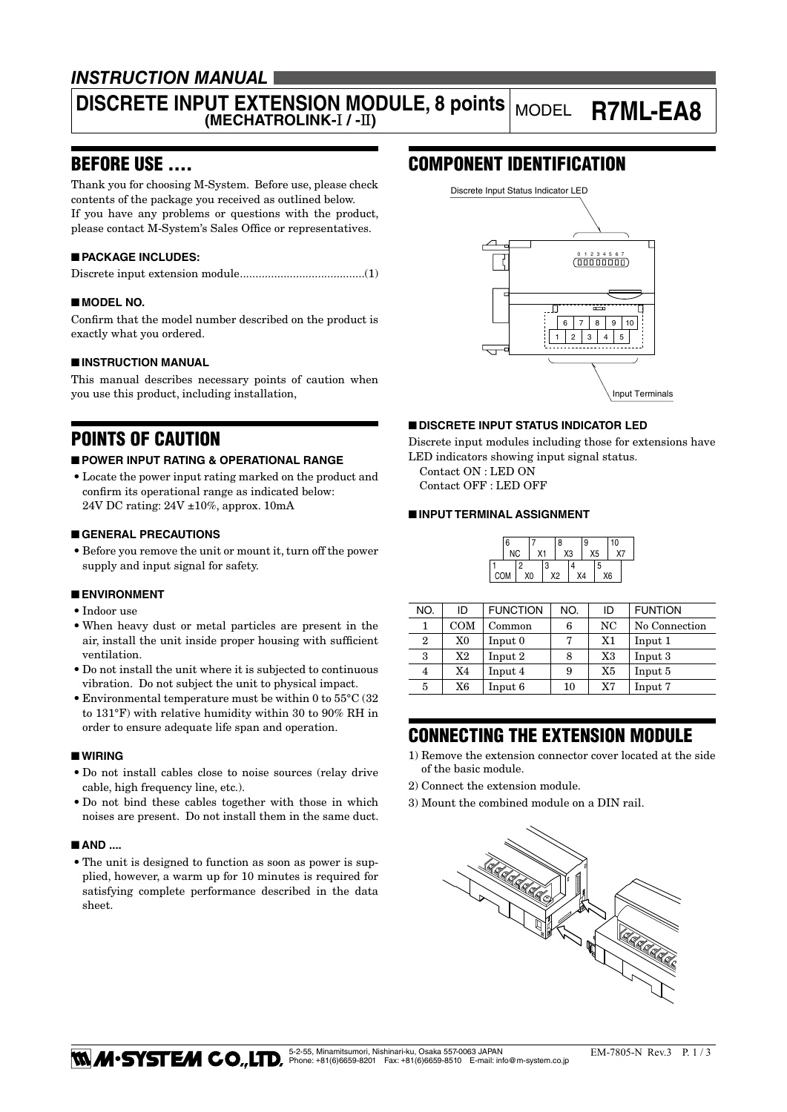### *INSTRUCTION MANUAL*

# **DISCRETE INPUT EXTENSION MODULE, 8 points (MECHATROLINK-**I **/ -**II**)** MODEL **R7ML-EA8**

### BEFORE USE ....

Thank you for choosing M-System. Before use, please check contents of the package you received as outlined below. If you have any problems or questions with the product, please contact M-System's Sales Office or representatives.

### ■ **PACKAGE INCLUDES:**

|--|--|--|--|--|

#### ■ **MODEL NO.**

Confirm that the model number described on the product is exactly what you ordered.

#### ■ **INSTRUCTION MANUAL**

This manual describes necessary points of caution when you use this product, including installation,

### POINTS OF CAUTION

#### ■ **POWER INPUT RATING & OPERATIONAL RANGE**

• Locate the power input rating marked on the product and confirm its operational range as indicated below: 24V DC rating: 24V ±10%, approx. 10mA

#### ■ **GENERAL PRECAUTIONS**

• Before you remove the unit or mount it, turn off the power supply and input signal for safety.

#### ■ **ENVIRONMENT**

- • Indoor use
- • When heavy dust or metal particles are present in the air, install the unit inside proper housing with sufficient ventilation.
- Do not install the unit where it is subjected to continuous vibration. Do not subject the unit to physical impact.
- Environmental temperature must be within 0 to  $55^{\circ}$ C (32) to 131°F) with relative humidity within 30 to 90% RH in order to ensure adequate life span and operation.

#### ■ **WIRING**

- • Do not install cables close to noise sources (relay drive cable, high frequency line, etc.).
- • Do not bind these cables together with those in which noises are present. Do not install them in the same duct.

#### ■ **AND ....**

• The unit is designed to function as soon as power is supplied, however, a warm up for 10 minutes is required for satisfying complete performance described in the data sheet.

### COMPONENT IDENTIFICATION



#### ■ **DISCRETE INPUT STATUS INDICATOR LED**

Discrete input modules including those for extensions have LED indicators showing input signal status.

Contact ON : LED ON

Contact OFF : LED OFF

#### ■ **INPUT TERMINAL ASSIGNMENT**

|     | 6 |    |    |    | 8              |    | 9 |    | 10 |  |
|-----|---|----|----|----|----------------|----|---|----|----|--|
| NC  |   | X1 |    | X3 |                | X5 |   | Χ7 |    |  |
|     |   | 2  |    | 3  |                |    |   | 5  |    |  |
| COM |   |    | XO |    | X <sub>2</sub> | X4 |   |    | X6 |  |

| NO.          | ID  | <b>FUNCTION</b> | NO. | ID | <b>FUNTION</b> |  |
|--------------|-----|-----------------|-----|----|----------------|--|
|              | COM | Common          | 6   | NC | No Connection  |  |
| $\mathbf{2}$ | X0  | Input 0         | 7   | X1 | Input 1        |  |
| 3            | X2  | Input 2         | 8   | X3 | Input 3        |  |
| 4            | X4  | Input 4         | 9   | X5 | Input 5        |  |
| 5            | X6  | Input 6         | 10  | X7 | Input 7        |  |

### CONNECTING THE EXTENSION MODULE

- 1) Remove the extension connector cover located at the side of the basic module.
- 2) Connect the extension module.
- 3) Mount the combined module on a DIN rail.

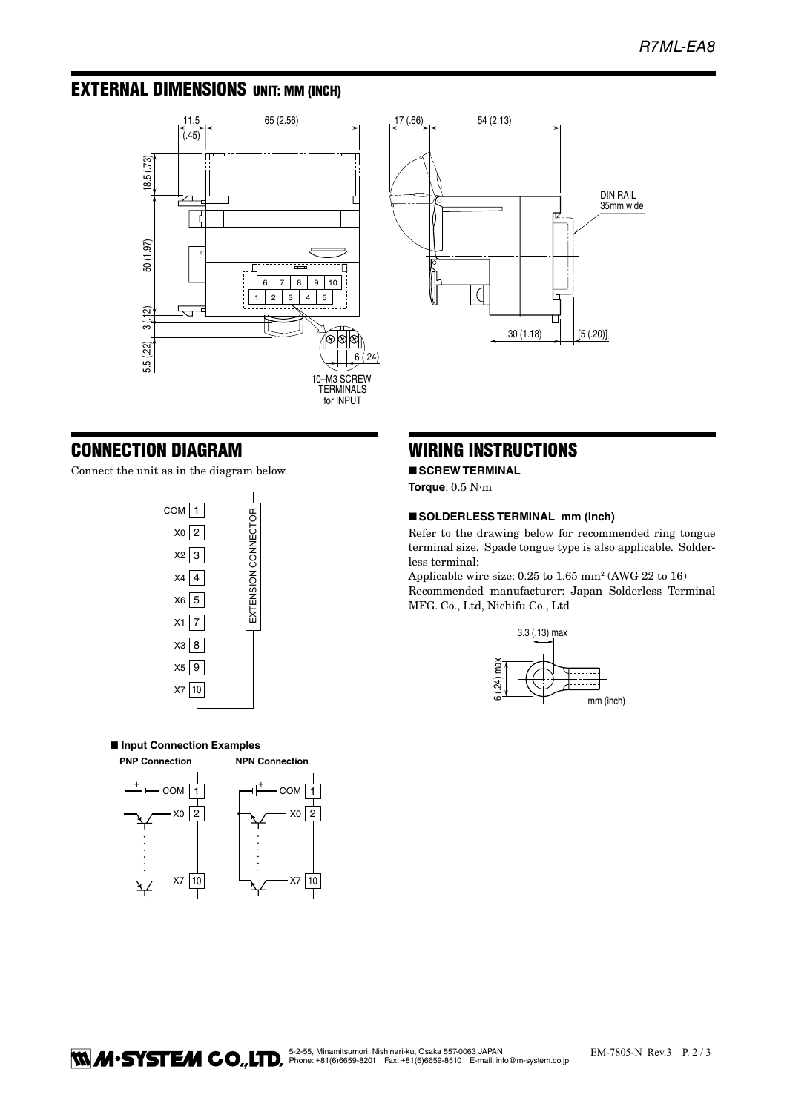## EXTERNAL DIMENSIONS unit: mm (inch)





### CONNECTION DIAGRAM

Connect the unit as in the diagram below.



■ **Input Connection Examples PNP Connection NPN Connection**



### WIRING INSTRUCTIONS

■ **SCREW TERMINAL** 

**Torque**: 0.5 N·m

#### ■ **SOLDERLESS TERMINAL mm (inch)**

Refer to the drawing below for recommended ring tongue terminal size. Spade tongue type is also applicable. Solderless terminal:

Applicable wire size: 0.25 to 1.65 mm2 (AWG 22 to 16) Recommended manufacturer: Japan Solderless Terminal MFG. Co., Ltd, Nichifu Co., Ltd